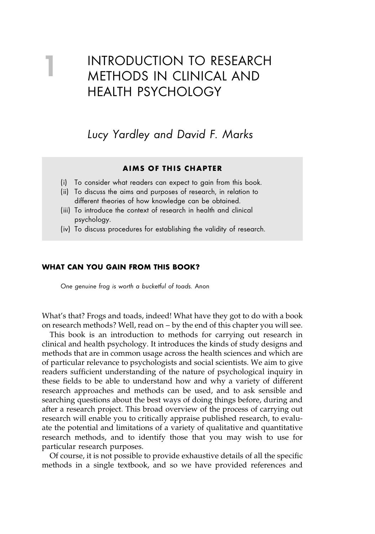# INTRODUCTION TO RESEARCH METHODS IN CLINICAL AND HEALTH PSYCHOLOGY

Lucy Yardley and David F. Marks

## AIMS OF THIS CHAPTER

- (i) To consider what readers can expect to gain from this book.
- (ii) To discuss the aims and purposes of research, in relation to different theories of how knowledge can be obtained.
- (iii) To introduce the context of research in health and clinical psychology.
- (iv) To discuss procedures for establishing the validity of research.

#### WHAT CAN YOU GAIN FROM THIS BOOK?

One genuine frog is worth a bucketful of toads. Anon

What's that? Frogs and toads, indeed! What have they got to do with a book on research methods? Well, read on  $-$  by the end of this chapter you will see.

This book is an introduction to methods for carrying out research in clinical and health psychology. It introduces the kinds of study designs and methods that are in common usage across the health sciences and which are of particular relevance to psychologists and social scientists. We aim to give readers sufficient understanding of the nature of psychological inquiry in these fields to be able to understand how and why a variety of different research approaches and methods can be used, and to ask sensible and searching questions about the best ways of doing things before, during and after a research project. This broad overview of the process of carrying out research will enable you to critically appraise published research, to evaluate the potential and limitations of a variety of qualitative and quantitative research methods, and to identify those that you may wish to use for particular research purposes.

Of course, it is not possible to provide exhaustive details of all the specific methods in a single textbook, and so we have provided references and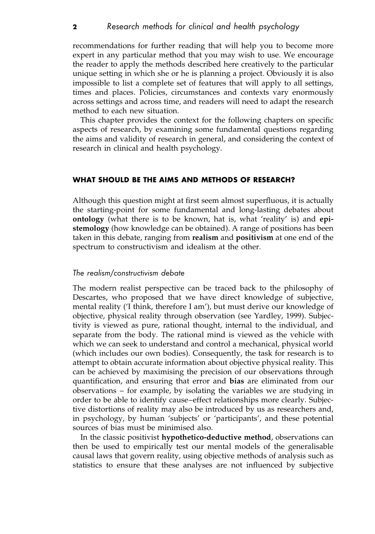# 2 Research methods for clinical and health psychology

recommendations for further reading that will help you to become more expert in any particular method that you may wish to use. We encourage the reader to apply the methods described here creatively to the particular unique setting in which she or he is planning a project. Obviously it is also impossible to list a complete set of features that will apply to all settings, times and places. Policies, circumstances and contexts vary enormously across settings and across time, and readers will need to adapt the research method to each new situation.

This chapter provides the context for the following chapters on specific aspects of research, by examining some fundamental questions regarding the aims and validity of research in general, and considering the context of research in clinical and health psychology.

#### WHAT SHOULD BE THE AIMS AND METHODS OF RESEARCH?

Although this question might at first seem almost superfluous, it is actually the starting-point for some fundamental and long-lasting debates about **ontology** (what there is to be known, hat is, what 'reality' is) and  $epi$ stemology (how knowledge can be obtained). A range of positions has been taken in this debate, ranging from realism and positivism at one end of the spectrum to constructivism and idealism at the other.

#### The realism/constructivism debate

The modern realist perspective can be traced back to the philosophy of Descartes, who proposed that we have direct knowledge of subjective, mental reality ( $\text{I}$  think, therefore I am'), but must derive our knowledge of objective, physical reality through observation (see Yardley, 1999). Subjectivity is viewed as pure, rational thought, internal to the individual, and separate from the body. The rational mind is viewed as the vehicle with which we can seek to understand and control a mechanical, physical world (which includes our own bodies). Consequently, the task for research is to attempt to obtain accurate information about objective physical reality. This can be achieved by maximising the precision of our observations through quantification, and ensuring that error and **bias** are eliminated from our observations  $-$  for example, by isolating the variables we are studying in order to be able to identify cause-effect relationships more clearly. Subjective distortions of reality may also be introduced by us as researchers and, in psychology, by human `subjects' or `participants', and these potential sources of bias must be minimised also.

In the classic positivist hypothetico-deductive method, observations can then be used to empirically test our mental models of the generalisable causal laws that govern reality, using objective methods of analysis such as statistics to ensure that these analyses are not influenced by subjective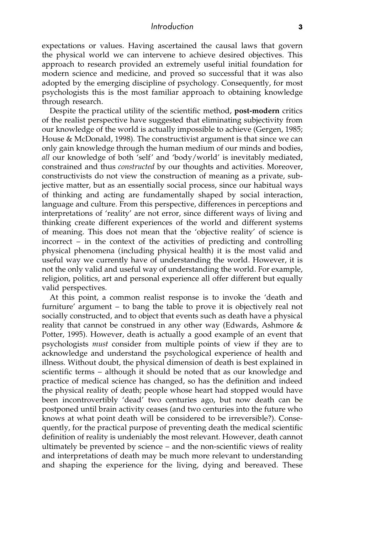expectations or values. Having ascertained the causal laws that govern the physical world we can intervene to achieve desired objectives. This approach to research provided an extremely useful initial foundation for modern science and medicine, and proved so successful that it was also adopted by the emerging discipline of psychology. Consequently, for most psychologists this is the most familiar approach to obtaining knowledge through research.

Despite the practical utility of the scientific method, post-modern critics of the realist perspective have suggested that eliminating subjectivity from our knowledge of the world is actually impossible to achieve (Gergen, 1985; House & McDonald, 1998). The constructivist argument is that since we can only gain knowledge through the human medium of our minds and bodies, all our knowledge of both 'self' and 'body/world' is inevitably mediated, constrained and thus constructed by our thoughts and activities. Moreover, constructivists do not view the construction of meaning as a private, subjective matter, but as an essentially social process, since our habitual ways of thinking and acting are fundamentally shaped by social interaction, language and culture. From this perspective, differences in perceptions and interpretations of 'reality' are not error, since different ways of living and thinking create different experiences of the world and different systems of meaning. This does not mean that the `objective reality' of science is  $incorrect - in the context of the activities of predicting and controlling$ physical phenomena (including physical health) it is the most valid and useful way we currently have of understanding the world. However, it is not the only valid and useful way of understanding the world. For example, religion, politics, art and personal experience all offer different but equally valid perspectives.

At this point, a common realist response is to invoke the `death and furniture' argument  $-$  to bang the table to prove it is objectively real not socially constructed, and to object that events such as death have a physical reality that cannot be construed in any other way (Edwards, Ashmore & Potter, 1995). However, death is actually a good example of an event that psychologists must consider from multiple points of view if they are to acknowledge and understand the psychological experience of health and illness. Without doubt, the physical dimension of death is best explained in scientific terms – although it should be noted that as our knowledge and practice of medical science has changed, so has the definition and indeed the physical reality of death; people whose heart had stopped would have been incontrovertibly 'dead' two centuries ago, but now death can be postponed until brain activity ceases (and two centuries into the future who knows at what point death will be considered to be irreversible?). Consequently, for the practical purpose of preventing death the medical scientific definition of reality is undeniably the most relevant. However, death cannot ultimately be prevented by science  $-$  and the non-scientific views of reality and interpretations of death may be much more relevant to understanding and shaping the experience for the living, dying and bereaved. These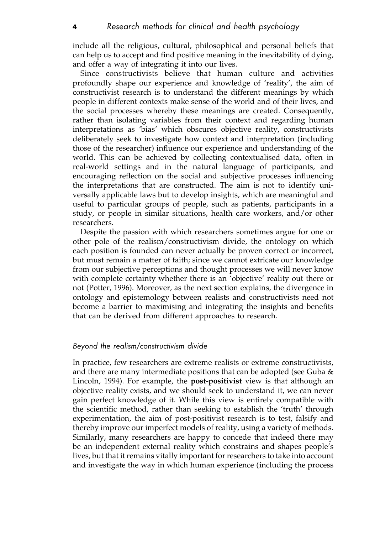include all the religious, cultural, philosophical and personal beliefs that can help us to accept and find positive meaning in the inevitability of dying, and offer a way of integrating it into our lives.

Since constructivists believe that human culture and activities profoundly shape our experience and knowledge of `reality', the aim of constructivist research is to understand the different meanings by which people in different contexts make sense of the world and of their lives, and the social processes whereby these meanings are created. Consequently, rather than isolating variables from their context and regarding human interpretations as 'bias' which obscures objective reality, constructivists deliberately seek to investigate how context and interpretation (including those of the researcher) influence our experience and understanding of the world. This can be achieved by collecting contextualised data, often in real-world settings and in the natural language of participants, and encouraging reflection on the social and subjective processes influencing the interpretations that are constructed. The aim is not to identify universally applicable laws but to develop insights, which are meaningful and useful to particular groups of people, such as patients, participants in a study, or people in similar situations, health care workers, and/or other researchers.

Despite the passion with which researchers sometimes argue for one or other pole of the realism/constructivism divide, the ontology on which each position is founded can never actually be proven correct or incorrect, but must remain a matter of faith; since we cannot extricate our knowledge from our subjective perceptions and thought processes we will never know with complete certainty whether there is an 'objective' reality out there or not (Potter, 1996). Moreover, as the next section explains, the divergence in ontology and epistemology between realists and constructivists need not become a barrier to maximising and integrating the insights and benefits that can be derived from different approaches to research.

# Beyond the realism/constructivism divide

In practice, few researchers are extreme realists or extreme constructivists, and there are many intermediate positions that can be adopted (see Guba & Lincoln, 1994). For example, the post-positivist view is that although an objective reality exists, and we should seek to understand it, we can never gain perfect knowledge of it. While this view is entirely compatible with the scientific method, rather than seeking to establish the 'truth' through experimentation, the aim of post-positivist research is to test, falsify and thereby improve our imperfect models of reality, using a variety of methods. Similarly, many researchers are happy to concede that indeed there may be an independent external reality which constrains and shapes people's lives, but that it remains vitally important for researchers to take into account and investigate the way in which human experience (including the process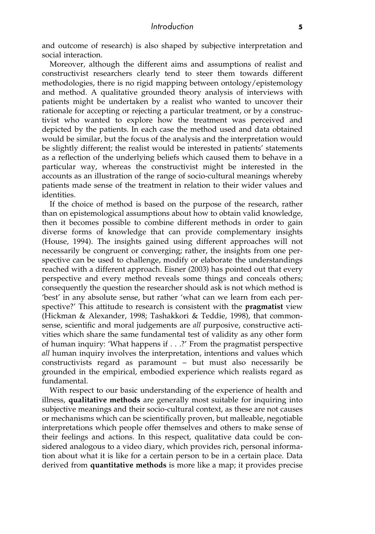and outcome of research) is also shaped by subjective interpretation and social interaction.

Moreover, although the different aims and assumptions of realist and constructivist researchers clearly tend to steer them towards different methodologies, there is no rigid mapping between ontology/epistemology and method. A qualitative grounded theory analysis of interviews with patients might be undertaken by a realist who wanted to uncover their rationale for accepting or rejecting a particular treatment, or by a constructivist who wanted to explore how the treatment was perceived and depicted by the patients. In each case the method used and data obtained would be similar, but the focus of the analysis and the interpretation would be slightly different; the realist would be interested in patients' statements as a reflection of the underlying beliefs which caused them to behave in a particular way, whereas the constructivist might be interested in the accounts as an illustration of the range of socio-cultural meanings whereby patients made sense of the treatment in relation to their wider values and identities.

If the choice of method is based on the purpose of the research, rather than on epistemological assumptions about how to obtain valid knowledge, then it becomes possible to combine different methods in order to gain diverse forms of knowledge that can provide complementary insights (House, 1994). The insights gained using different approaches will not necessarily be congruent or converging; rather, the insights from one perspective can be used to challenge, modify or elaborate the understandings reached with a different approach. Eisner (2003) has pointed out that every perspective and every method reveals some things and conceals others; consequently the question the researcher should ask is not which method is `best' in any absolute sense, but rather `what can we learn from each perspective?' This attitude to research is consistent with the pragmatist view (Hickman & Alexander, 1998; Tashakkori & Teddie, 1998), that commonsense, scientific and moral judgements are all purposive, constructive activities which share the same fundamental test of validity as any other form of human inquiry: 'What happens if . . .?' From the pragmatist perspective all human inquiry involves the interpretation, intentions and values which constructivists regard as paramount  $-$  but must also necessarily be grounded in the empirical, embodied experience which realists regard as fundamental.

With respect to our basic understanding of the experience of health and illness, qualitative methods are generally most suitable for inquiring into subjective meanings and their socio-cultural context, as these are not causes or mechanisms which can be scientifically proven, but malleable, negotiable interpretations which people offer themselves and others to make sense of their feelings and actions. In this respect, qualitative data could be considered analogous to a video diary, which provides rich, personal information about what it is like for a certain person to be in a certain place. Data derived from quantitative methods is more like a map; it provides precise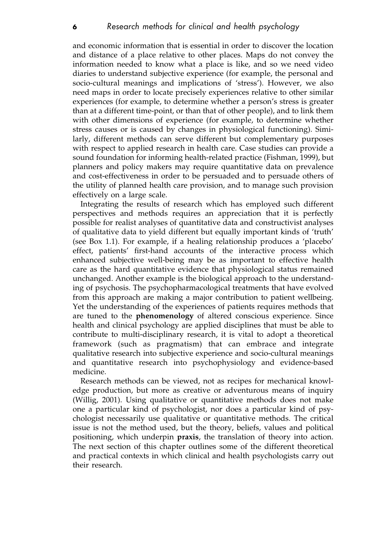and economic information that is essential in order to discover the location and distance of a place relative to other places. Maps do not convey the information needed to know what a place is like, and so we need video diaries to understand subjective experience (for example, the personal and socio-cultural meanings and implications of 'stress'). However, we also need maps in order to locate precisely experiences relative to other similar experiences (for example, to determine whether a person's stress is greater than at a different time-point, or than that of other people), and to link them with other dimensions of experience (for example, to determine whether stress causes or is caused by changes in physiological functioning). Similarly, different methods can serve different but complementary purposes with respect to applied research in health care. Case studies can provide a sound foundation for informing health-related practice (Fishman, 1999), but planners and policy makers may require quantitative data on prevalence and cost-effectiveness in order to be persuaded and to persuade others of the utility of planned health care provision, and to manage such provision effectively on a large scale.

Integrating the results of research which has employed such different perspectives and methods requires an appreciation that it is perfectly possible for realist analyses of quantitative data and constructivist analyses of qualitative data to yield different but equally important kinds of `truth' (see Box 1.1). For example, if a healing relationship produces a `placebo' effect, patients' first-hand accounts of the interactive process which enhanced subjective well-being may be as important to effective health care as the hard quantitative evidence that physiological status remained unchanged. Another example is the biological approach to the understanding of psychosis. The psychopharmacological treatments that have evolved from this approach are making a major contribution to patient wellbeing. Yet the understanding of the experiences of patients requires methods that are tuned to the phenomenology of altered conscious experience. Since health and clinical psychology are applied disciplines that must be able to contribute to multi-disciplinary research, it is vital to adopt a theoretical framework (such as pragmatism) that can embrace and integrate qualitative research into subjective experience and socio-cultural meanings and quantitative research into psychophysiology and evidence-based medicine.

Research methods can be viewed, not as recipes for mechanical knowledge production, but more as creative or adventurous means of inquiry (Willig, 2001). Using qualitative or quantitative methods does not make one a particular kind of psychologist, nor does a particular kind of psychologist necessarily use qualitative or quantitative methods. The critical issue is not the method used, but the theory, beliefs, values and political positioning, which underpin praxis, the translation of theory into action. The next section of this chapter outlines some of the different theoretical and practical contexts in which clinical and health psychologists carry out their research.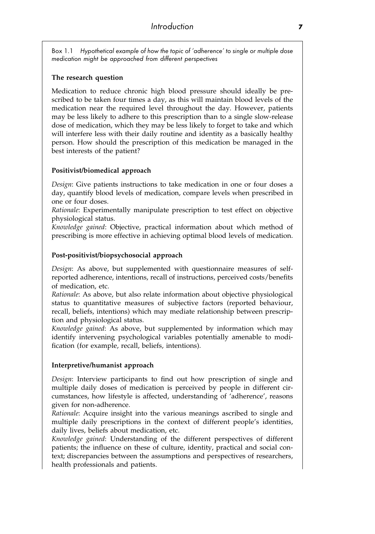Box 1.1 Hypothetical example of how the topic of 'adherence' to single or multiple dose medication might be approached from different perspectives

## The research question

Medication to reduce chronic high blood pressure should ideally be prescribed to be taken four times a day, as this will maintain blood levels of the medication near the required level throughout the day. However, patients may be less likely to adhere to this prescription than to a single slow-release dose of medication, which they may be less likely to forget to take and which will interfere less with their daily routine and identity as a basically healthy person. How should the prescription of this medication be managed in the best interests of the patient?

# Positivist/biomedical approach

Design: Give patients instructions to take medication in one or four doses a day, quantify blood levels of medication, compare levels when prescribed in one or four doses.

Rationale: Experimentally manipulate prescription to test effect on objective physiological status.

Knowledge gained: Objective, practical information about which method of prescribing is more effective in achieving optimal blood levels of medication.

## Post-positivist/biopsychosocial approach

Design: As above, but supplemented with questionnaire measures of selfreported adherence, intentions, recall of instructions, perceived costs/benefits of medication, etc.

Rationale: As above, but also relate information about objective physiological status to quantitative measures of subjective factors (reported behaviour, recall, beliefs, intentions) which may mediate relationship between prescription and physiological status.

Knowledge gained: As above, but supplemented by information which may identify intervening psychological variables potentially amenable to modi fication (for example, recall, beliefs, intentions).

# Interpretive/humanist approach

Design: Interview participants to find out how prescription of single and multiple daily doses of medication is perceived by people in different circumstances, how lifestyle is affected, understanding of 'adherence', reasons given for non-adherence.

Rationale: Acquire insight into the various meanings ascribed to single and multiple daily prescriptions in the context of different people's identities, daily lives, beliefs about medication, etc.

Knowledge gained: Understanding of the different perspectives of different patients; the influence on these of culture, identity, practical and social context; discrepancies between the assumptions and perspectives of researchers, health professionals and patients.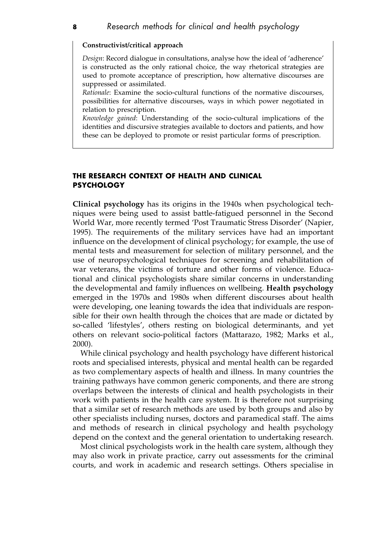#### Constructivist/critical approach

Design: Record dialogue in consultations, analyse how the ideal of 'adherence' is constructed as the only rational choice, the way rhetorical strategies are used to promote acceptance of prescription, how alternative discourses are suppressed or assimilated.

Rationale: Examine the socio-cultural functions of the normative discourses, possibilities for alternative discourses, ways in which power negotiated in relation to prescription.

Knowledge gained: Understanding of the socio-cultural implications of the identities and discursive strategies available to doctors and patients, and how these can be deployed to promote or resist particular forms of prescription.

## THE RESEARCH CONTEXT OF HEALTH AND CLINICAL **PSYCHOLOGY**

Clinical psychology has its origins in the 1940s when psychological techniques were being used to assist battle-fatigued personnel in the Second World War, more recently termed 'Post Traumatic Stress Disorder' (Napier, 1995). The requirements of the military services have had an important influence on the development of clinical psychology; for example, the use of mental tests and measurement for selection of military personnel, and the use of neuropsychological techniques for screening and rehabilitation of war veterans, the victims of torture and other forms of violence. Educational and clinical psychologists share similar concerns in understanding the developmental and family influences on wellbeing. Health psychology emerged in the 1970s and 1980s when different discourses about health were developing, one leaning towards the idea that individuals are responsible for their own health through the choices that are made or dictated by so-called `lifestyles', others resting on biological determinants, and yet others on relevant socio-political factors (Mattarazo, 1982; Marks et al., 2000).

While clinical psychology and health psychology have different historical roots and specialised interests, physical and mental health can be regarded as two complementary aspects of health and illness. In many countries the training pathways have common generic components, and there are strong overlaps between the interests of clinical and health psychologists in their work with patients in the health care system. It is therefore not surprising that a similar set of research methods are used by both groups and also by other specialists including nurses, doctors and paramedical staff. The aims and methods of research in clinical psychology and health psychology depend on the context and the general orientation to undertaking research.

Most clinical psychologists work in the health care system, although they may also work in private practice, carry out assessments for the criminal courts, and work in academic and research settings. Others specialise in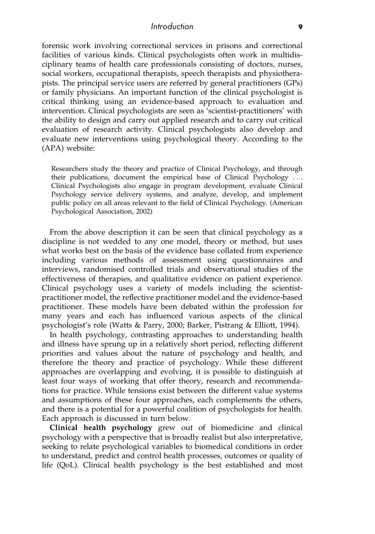# Introduction 9

forensic work involving correctional services in prisons and correctional facilities of various kinds. Clinical psychologists often work in multidisciplinary teams of health care professionals consisting of doctors, nurses, social workers, occupational therapists, speech therapists and physiotherapists. The principal service users are referred by general practitioners (GPs) or family physicians. An important function of the clinical psychologist is critical thinking using an evidence-based approach to evaluation and intervention. Clinical psychologists are seen as 'scientist-practitioners' with the ability to design and carry out applied research and to carry out critical evaluation of research activity. Clinical psychologists also develop and evaluate new interventions using psychological theory. According to the (APA) website:

Researchers study the theory and practice of Clinical Psychology, and through their publications, document the empirical base of Clinical Psychology ... Clinical Psychologists also engage in program development, evaluate Clinical Psychology service delivery systems, and analyze, develop, and implement public policy on all areas relevant to the field of Clinical Psychology. (American Psychological Association, 2002)

From the above description it can be seen that clinical psychology as a discipline is not wedded to any one model, theory or method, but uses what works best on the basis of the evidence base collated from experience including various methods of assessment using questionnaires and interviews, randomised controlled trials and observational studies of the effectiveness of therapies, and qualitative evidence on patient experience. Clinical psychology uses a variety of models including the scientistpractitioner model, the reflective practitioner model and the evidence-based practitioner. These models have been debated within the profession for many years and each has influenced various aspects of the clinical psychologist's role (Watts & Parry, 2000; Barker, Pistrang & Elliott, 1994).

In health psychology, contrasting approaches to understanding health and illness have sprung up in a relatively short period, reflecting different priorities and values about the nature of psychology and health, and therefore the theory and practice of psychology. While these different approaches are overlapping and evolving, it is possible to distinguish at least four ways of working that offer theory, research and recommendations for practice. While tensions exist between the different value systems and assumptions of these four approaches, each complements the others, and there is a potential for a powerful coalition of psychologists for health. Each approach is discussed in turn below.

Clinical health psychology grew out of biomedicine and clinical psychology with a perspective that is broadly realist but also interpretative, seeking to relate psychological variables to biomedical conditions in order to understand, predict and control health processes, outcomes or quality of life (QoL). Clinical health psychology is the best established and most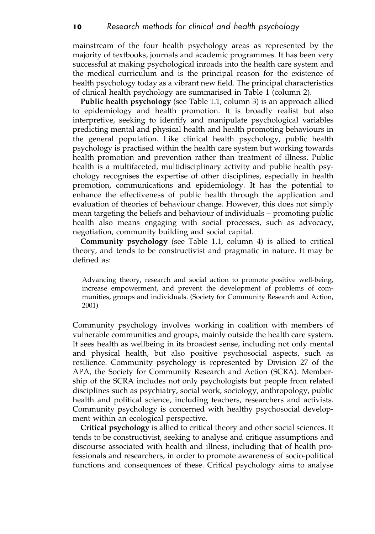mainstream of the four health psychology areas as represented by the majority of textbooks, journals and academic programmes. It has been very successful at making psychological inroads into the health care system and the medical curriculum and is the principal reason for the existence of health psychology today as a vibrant new field. The principal characteristics of clinical health psychology are summarised in Table 1 (column 2).

Public health psychology (see Table 1.1, column 3) is an approach allied to epidemiology and health promotion. It is broadly realist but also interpretive, seeking to identify and manipulate psychological variables predicting mental and physical health and health promoting behaviours in the general population. Like clinical health psychology, public health psychology is practised within the health care system but working towards health promotion and prevention rather than treatment of illness. Public health is a multifaceted, multidisciplinary activity and public health psychology recognises the expertise of other disciplines, especially in health promotion, communications and epidemiology. It has the potential to enhance the effectiveness of public health through the application and evaluation of theories of behaviour change. However, this does not simply mean targeting the beliefs and behaviour of individuals – promoting public health also means engaging with social processes, such as advocacy, negotiation, community building and social capital.

Community psychology (see Table 1.1, column 4) is allied to critical theory, and tends to be constructivist and pragmatic in nature. It may be defined as:

Advancing theory, research and social action to promote positive well-being, increase empowerment, and prevent the development of problems of communities, groups and individuals. (Society for Community Research and Action, 2001)

Community psychology involves working in coalition with members of vulnerable communities and groups, mainly outside the health care system. It sees health as wellbeing in its broadest sense, including not only mental and physical health, but also positive psychosocial aspects, such as resilience. Community psychology is represented by Division 27 of the APA, the Society for Community Research and Action (SCRA). Membership of the SCRA includes not only psychologists but people from related disciplines such as psychiatry, social work, sociology, anthropology, public health and political science, including teachers, researchers and activists. Community psychology is concerned with healthy psychosocial development within an ecological perspective.

Critical psychology is allied to critical theory and other social sciences. It tends to be constructivist, seeking to analyse and critique assumptions and discourse associated with health and illness, including that of health professionals and researchers, in order to promote awareness of socio-political functions and consequences of these. Critical psychology aims to analyse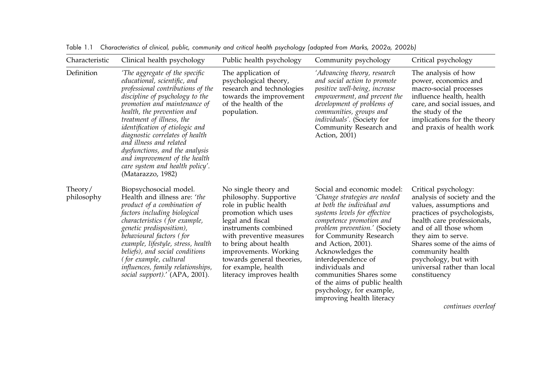| Characteristic        | Clinical health psychology                                                                                                                                                                                                                                                                                                                                                                                                                                    | Public health psychology                                                                                                                                                                                                                                                                                  | Community psychology                                                                                                                                                                                                                                                                                                                                                                       | Critical psychology                                                                                                                                                                                                                                                                                                 |
|-----------------------|---------------------------------------------------------------------------------------------------------------------------------------------------------------------------------------------------------------------------------------------------------------------------------------------------------------------------------------------------------------------------------------------------------------------------------------------------------------|-----------------------------------------------------------------------------------------------------------------------------------------------------------------------------------------------------------------------------------------------------------------------------------------------------------|--------------------------------------------------------------------------------------------------------------------------------------------------------------------------------------------------------------------------------------------------------------------------------------------------------------------------------------------------------------------------------------------|---------------------------------------------------------------------------------------------------------------------------------------------------------------------------------------------------------------------------------------------------------------------------------------------------------------------|
| Definition            | 'The aggregate of the specific<br>educational, scientific, and<br>professional contributions of the<br>discipline of psychology to the<br>promotion and maintenance of<br>health, the prevention and<br>treatment of illness, the<br>identification of etiologic and<br>diagnostic correlates of health<br>and illness and related<br>dysfunctions, and the analysis<br>and improvement of the health<br>care system and health policy'.<br>(Matarazzo, 1982) | The application of<br>psychological theory,<br>research and technologies<br>towards the improvement<br>of the health of the<br>population.                                                                                                                                                                | 'Advancing theory, research<br>and social action to promote<br>positive well-being, increase<br>empowerment, and prevent the<br>development of problems of<br>communities, groups and<br>individuals'. (Society for<br>Community Research and<br>Action, 2001)                                                                                                                             | The analysis of how<br>power, economics and<br>macro-social processes<br>influence health, health<br>care, and social issues, and<br>the study of the<br>implications for the theory<br>and praxis of health work                                                                                                   |
| Theory/<br>philosophy | Biopsychosocial model.<br>Health and illness are: 'the<br>product of a combination of<br>factors including biological<br>characteristics (for example,<br>genetic predisposition),<br>behavioural factors (for<br>example, lifestyle, stress, health<br>beliefs), and social conditions<br>(for example, cultural<br>influences, family relationships,<br>social support).' (APA, 2001).                                                                      | No single theory and<br>philosophy. Supportive<br>role in public health<br>promotion which uses<br>legal and fiscal<br>instruments combined<br>with preventive measures<br>to bring about health<br>improvements. Working<br>towards general theories,<br>for example, health<br>literacy improves health | Social and economic model:<br>'Change strategies are needed<br>at both the individual and<br>systems levels for effective<br>competence promotion and<br>problem prevention.' (Society<br>for Community Research<br>and Action, 2001).<br>Acknowledges the<br>interdependence of<br>individuals and<br>communities Shares some<br>of the aims of public health<br>psychology, for example, | Critical psychology:<br>analysis of society and the<br>values, assumptions and<br>practices of psychologists,<br>health care professionals,<br>and of all those whom<br>they aim to serve.<br>Shares some of the aims of<br>community health<br>psychology, but with<br>universal rather than local<br>constituency |

improving health literacy

Table 1.1 Characteristics of clinical, public, community and critical health psychology (adapted from Marks, 2002a, 2002b)

continues overleaf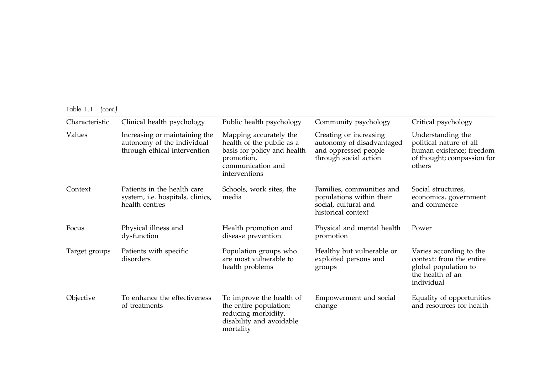Table 1.1 (cont.)

| Characteristic | Clinical health psychology                                                                  | Public health psychology                                                                                                               | Community psychology                                                                                 | Critical psychology                                                                                              |
|----------------|---------------------------------------------------------------------------------------------|----------------------------------------------------------------------------------------------------------------------------------------|------------------------------------------------------------------------------------------------------|------------------------------------------------------------------------------------------------------------------|
| Values         | Increasing or maintaining the<br>autonomy of the individual<br>through ethical intervention | Mapping accurately the<br>health of the public as a<br>basis for policy and health<br>promotion,<br>communication and<br>interventions | Creating or increasing<br>autonomy of disadvantaged<br>and oppressed people<br>through social action | Understanding the<br>political nature of all<br>human existence; freedom<br>of thought; compassion for<br>others |
| Context        | Patients in the health care<br>system, i.e. hospitals, clinics,<br>health centres           | Schools, work sites, the<br>media                                                                                                      | Families, communities and<br>populations within their<br>social, cultural and<br>historical context  | Social structures,<br>economics, government<br>and commerce                                                      |
| Focus          | Physical illness and<br>dysfunction                                                         | Health promotion and<br>disease prevention                                                                                             | Physical and mental health<br>promotion                                                              | Power                                                                                                            |
| Target groups  | Patients with specific<br>disorders                                                         | Population groups who<br>are most vulnerable to<br>health problems                                                                     | Healthy but vulnerable or<br>exploited persons and<br>groups                                         | Varies according to the<br>context: from the entire<br>global population to<br>the health of an<br>individual    |
| Objective      | To enhance the effectiveness<br>of treatments                                               | To improve the health of<br>the entire population:<br>reducing morbidity,<br>disability and avoidable<br>mortality                     | Empowerment and social<br>change                                                                     | Equality of opportunities<br>and resources for health                                                            |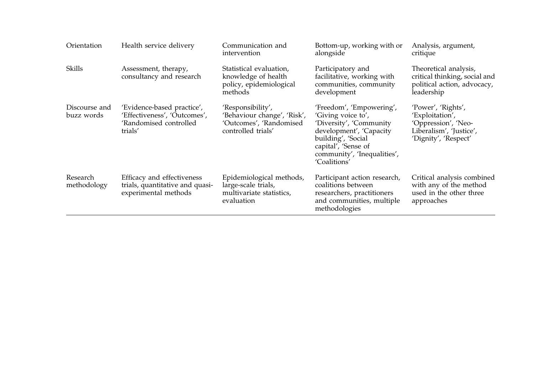| Orientation                 | Health service delivery                                                                         | Communication and<br>intervention                                                                 | Bottom-up, working with or<br>alongside                                                                                                                                                          | Analysis, argument,<br>critique                                                                                 |
|-----------------------------|-------------------------------------------------------------------------------------------------|---------------------------------------------------------------------------------------------------|--------------------------------------------------------------------------------------------------------------------------------------------------------------------------------------------------|-----------------------------------------------------------------------------------------------------------------|
| Skills                      | Assessment, therapy,<br>consultancy and research                                                | Statistical evaluation,<br>knowledge of health<br>policy, epidemiological<br>methods              | Participatory and<br>facilitative, working with<br>communities, community<br>development                                                                                                         | Theoretical analysis,<br>critical thinking, social and<br>political action, advocacy,<br>leadership             |
| Discourse and<br>buzz words | 'Evidence-based practice',<br>'Effectiveness', 'Outcomes',<br>'Randomised controlled<br>trials' | 'Responsibility',<br>'Behaviour change', 'Risk',<br>'Outcomes', 'Randomised<br>controlled trials' | 'Freedom', 'Empowering',<br>'Giving voice to',<br>'Diversity', 'Community<br>development', 'Capacity<br>building', 'Social<br>capital', 'Sense of<br>community', 'Inequalities',<br>'Coalitions' | 'Power', 'Rights',<br>'Exploitation',<br>'Oppression', 'Neo-<br>Liberalism', 'Justice',<br>'Dignity', 'Respect' |
| Research<br>methodology     | Efficacy and effectiveness<br>trials, quantitative and quasi-<br>experimental methods           | Epidemiological methods,<br>large-scale trials,<br>multivariate statistics,<br>evaluation         | Participant action research,<br>coalitions between<br>researchers, practitioners<br>and communities, multiple<br>methodologies                                                                   | Critical analysis combined<br>with any of the method<br>used in the other three<br>approaches                   |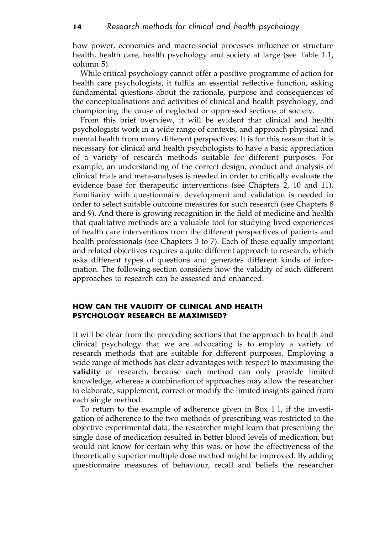how power, economics and macro-social processes influence or structure health, health care, health psychology and society at large (see Table 1.1, column 5).

While critical psychology cannot offer a positive programme of action for health care psychologists, it fulfils an essential reflective function, asking fundamental questions about the rationale, purpose and consequences of the conceptualisations and activities of clinical and health psychology, and championing the cause of neglected or oppressed sections of society.

From this brief overview, it will be evident that clinical and health psychologists work in a wide range of contexts, and approach physical and mental health from many different perspectives. It is for this reason that it is necessary for clinical and health psychologists to have a basic appreciation of a variety of research methods suitable for different purposes. For example, an understanding of the correct design, conduct and analysis of clinical trials and meta-analyses is needed in order to critically evaluate the evidence base for therapeutic interventions (see Chapters 2, 10 and 11). Familiarity with questionnaire development and validation is needed in order to select suitable outcome measures for such research (see Chapters 8 and 9). And there is growing recognition in the field of medicine and health that qualitative methods are a valuable tool for studying lived experiences of health care interventions from the different perspectives of patients and health professionals (see Chapters 3 to 7). Each of these equally important and related objectives requires a quite different approach to research, which asks different types of questions and generates different kinds of information. The following section considers how the validity of such different approaches to research can be assessed and enhanced.

# HOW CAN THE VALIDITY OF CLINICAL AND HEALTH PSYCHOLOGY RESEARCH BE MAXIMISED?

It will be clear from the preceding sections that the approach to health and clinical psychology that we are advocating is to employ a variety of research methods that are suitable for different purposes. Employing a wide range of methods has clear advantages with respect to maximising the validity of research, because each method can only provide limited knowledge, whereas a combination of approaches may allow the researcher to elaborate, supplement, correct or modify the limited insights gained from each single method.

To return to the example of adherence given in Box 1.1, if the investigation of adherence to the two methods of prescribing was restricted to the objective experimental data, the researcher might learn that prescribing the single dose of medication resulted in better blood levels of medication, but would not know for certain why this was, or how the effectiveness of the theoretically superior multiple dose method might be improved. By adding questionnaire measures of behaviour, recall and beliefs the researcher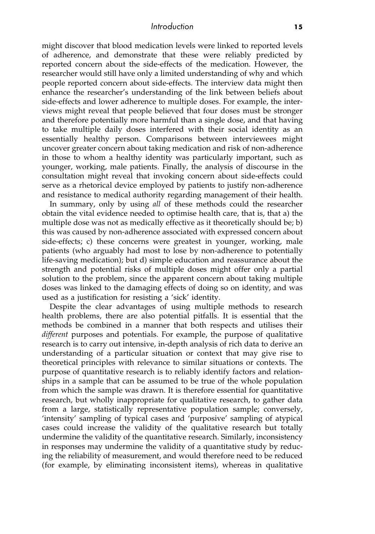might discover that blood medication levels were linked to reported levels of adherence, and demonstrate that these were reliably predicted by reported concern about the side-effects of the medication. However, the researcher would still have only a limited understanding of why and which people reported concern about side-effects. The interview data might then enhance the researcher's understanding of the link between beliefs about side-effects and lower adherence to multiple doses. For example, the interviews might reveal that people believed that four doses must be stronger and therefore potentially more harmful than a single dose, and that having to take multiple daily doses interfered with their social identity as an essentially healthy person. Comparisons between interviewees might uncover greater concern about taking medication and risk of non-adherence in those to whom a healthy identity was particularly important, such as younger, working, male patients. Finally, the analysis of discourse in the consultation might reveal that invoking concern about side-effects could serve as a rhetorical device employed by patients to justify non-adherence and resistance to medical authority regarding management of their health.

In summary, only by using all of these methods could the researcher obtain the vital evidence needed to optimise health care, that is, that a) the multiple dose was not as medically effective as it theoretically should be; b) this was caused by non-adherence associated with expressed concern about side-effects; c) these concerns were greatest in younger, working, male patients (who arguably had most to lose by non-adherence to potentially life-saving medication); but d) simple education and reassurance about the strength and potential risks of multiple doses might offer only a partial solution to the problem, since the apparent concern about taking multiple doses was linked to the damaging effects of doing so on identity, and was used as a justification for resisting a 'sick' identity.

Despite the clear advantages of using multiple methods to research health problems, there are also potential pitfalls. It is essential that the methods be combined in a manner that both respects and utilises their different purposes and potentials. For example, the purpose of qualitative research is to carry out intensive, in-depth analysis of rich data to derive an understanding of a particular situation or context that may give rise to theoretical principles with relevance to similar situations or contexts. The purpose of quantitative research is to reliably identify factors and relationships in a sample that can be assumed to be true of the whole population from which the sample was drawn. It is therefore essential for quantitative research, but wholly inappropriate for qualitative research, to gather data from a large, statistically representative population sample; conversely, `intensity' sampling of typical cases and `purposive' sampling of atypical cases could increase the validity of the qualitative research but totally undermine the validity of the quantitative research. Similarly, inconsistency in responses may undermine the validity of a quantitative study by reducing the reliability of measurement, and would therefore need to be reduced (for example, by eliminating inconsistent items), whereas in qualitative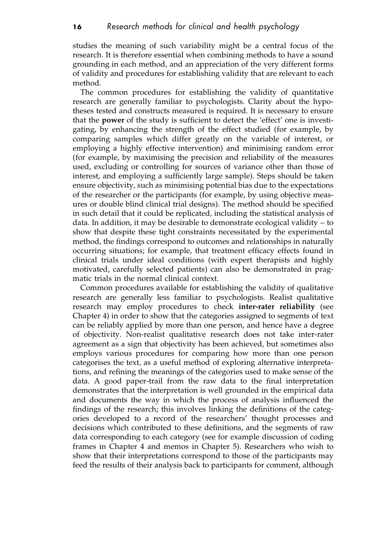studies the meaning of such variability might be a central focus of the research. It is therefore essential when combining methods to have a sound grounding in each method, and an appreciation of the very different forms of validity and procedures for establishing validity that are relevant to each method.

The common procedures for establishing the validity of quantitative research are generally familiar to psychologists. Clarity about the hypotheses tested and constructs measured is required. It is necessary to ensure that the power of the study is sufficient to detect the 'effect' one is investigating, by enhancing the strength of the effect studied (for example, by comparing samples which differ greatly on the variable of interest, or employing a highly effective intervention) and minimising random error (for example, by maximising the precision and reliability of the measures used, excluding or controlling for sources of variance other than those of interest, and employing a sufficiently large sample). Steps should be taken ensure objectivity, such as minimising potential bias due to the expectations of the researcher or the participants (for example, by using objective measures or double blind clinical trial designs). The method should be specified in such detail that it could be replicated, including the statistical analysis of data. In addition, it may be desirable to demonstrate ecological validity  $-$  to show that despite these tight constraints necessitated by the experimental method, the findings correspond to outcomes and relationships in naturally occurring situations; for example, that treatment efficacy effects found in clinical trials under ideal conditions (with expert therapists and highly motivated, carefully selected patients) can also be demonstrated in pragmatic trials in the normal clinical context.

Common procedures available for establishing the validity of qualitative research are generally less familiar to psychologists. Realist qualitative research may employ procedures to check inter-rater reliability (see Chapter 4) in order to show that the categories assigned to segments of text can be reliably applied by more than one person, and hence have a degree of objectivity. Non-realist qualitative research does not take inter-rater agreement as a sign that objectivity has been achieved, but sometimes also employs various procedures for comparing how more than one person categorises the text, as a useful method of exploring alternative interpretations, and refining the meanings of the categories used to make sense of the data. A good paper-trail from the raw data to the final interpretation demonstrates that the interpretation is well grounded in the empirical data and documents the way in which the process of analysis influenced the findings of the research; this involves linking the definitions of the categories developed to a record of the researchers' thought processes and decisions which contributed to these definitions, and the segments of raw data corresponding to each category (see for example discussion of coding frames in Chapter 4 and memos in Chapter 5). Researchers who wish to show that their interpretations correspond to those of the participants may feed the results of their analysis back to participants for comment, although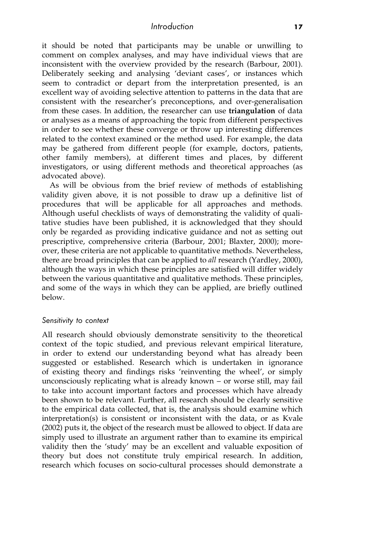it should be noted that participants may be unable or unwilling to comment on complex analyses, and may have individual views that are inconsistent with the overview provided by the research (Barbour, 2001). Deliberately seeking and analysing 'deviant cases', or instances which seem to contradict or depart from the interpretation presented, is an excellent way of avoiding selective attention to patterns in the data that are consistent with the researcher's preconceptions, and over-generalisation from these cases. In addition, the researcher can use triangulation of data or analyses as a means of approaching the topic from different perspectives in order to see whether these converge or throw up interesting differences related to the context examined or the method used. For example, the data may be gathered from different people (for example, doctors, patients, other family members), at different times and places, by different investigators, or using different methods and theoretical approaches (as advocated above).

As will be obvious from the brief review of methods of establishing validity given above, it is not possible to draw up a definitive list of procedures that will be applicable for all approaches and methods. Although useful checklists of ways of demonstrating the validity of qualitative studies have been published, it is acknowledged that they should only be regarded as providing indicative guidance and not as setting out prescriptive, comprehensive criteria (Barbour, 2001; Blaxter, 2000); moreover, these criteria are not applicable to quantitative methods. Nevertheless, there are broad principles that can be applied to all research (Yardley, 2000), although the ways in which these principles are satisfied will differ widely between the various quantitative and qualitative methods. These principles, and some of the ways in which they can be applied, are briefly outlined below.

#### Sensitivity to context

All research should obviously demonstrate sensitivity to the theoretical context of the topic studied, and previous relevant empirical literature, in order to extend our understanding beyond what has already been suggested or established. Research which is undertaken in ignorance of existing theory and findings risks 'reinventing the wheel', or simply unconsciously replicating what is already known  $-$  or worse still, may fail to take into account important factors and processes which have already been shown to be relevant. Further, all research should be clearly sensitive to the empirical data collected, that is, the analysis should examine which interpretation(s) is consistent or inconsistent with the data, or as Kvale (2002) puts it, the object of the research must be allowed to object. If data are simply used to illustrate an argument rather than to examine its empirical validity then the 'study' may be an excellent and valuable exposition of theory but does not constitute truly empirical research. In addition, research which focuses on socio-cultural processes should demonstrate a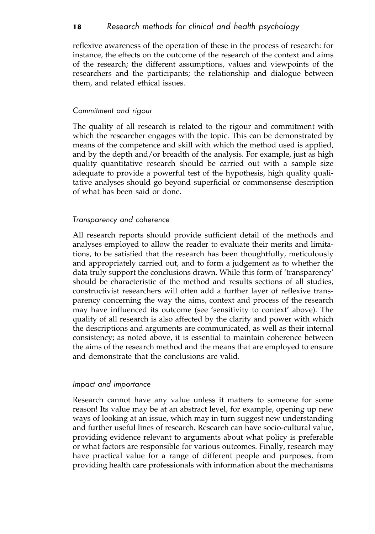# 18 Research methods for clinical and health psychology

reflexive awareness of the operation of these in the process of research: for instance, the effects on the outcome of the research of the context and aims of the research; the different assumptions, values and viewpoints of the researchers and the participants; the relationship and dialogue between them, and related ethical issues.

## Commitment and rigour

The quality of all research is related to the rigour and commitment with which the researcher engages with the topic. This can be demonstrated by means of the competence and skill with which the method used is applied, and by the depth and/or breadth of the analysis. For example, just as high quality quantitative research should be carried out with a sample size adequate to provide a powerful test of the hypothesis, high quality qualitative analyses should go beyond superficial or commonsense description of what has been said or done.

#### Transparency and coherence

All research reports should provide sufficient detail of the methods and analyses employed to allow the reader to evaluate their merits and limitations, to be satisfied that the research has been thoughtfully, meticulously and appropriately carried out, and to form a judgement as to whether the data truly support the conclusions drawn. While this form of 'transparency' should be characteristic of the method and results sections of all studies, constructivist researchers will often add a further layer of reflexive transparency concerning the way the aims, context and process of the research may have influenced its outcome (see 'sensitivity to context' above). The quality of all research is also affected by the clarity and power with which the descriptions and arguments are communicated, as well as their internal consistency; as noted above, it is essential to maintain coherence between the aims of the research method and the means that are employed to ensure and demonstrate that the conclusions are valid.

#### Impact and importance

Research cannot have any value unless it matters to someone for some reason! Its value may be at an abstract level, for example, opening up new ways of looking at an issue, which may in turn suggest new understanding and further useful lines of research. Research can have socio-cultural value, providing evidence relevant to arguments about what policy is preferable or what factors are responsible for various outcomes. Finally, research may have practical value for a range of different people and purposes, from providing health care professionals with information about the mechanisms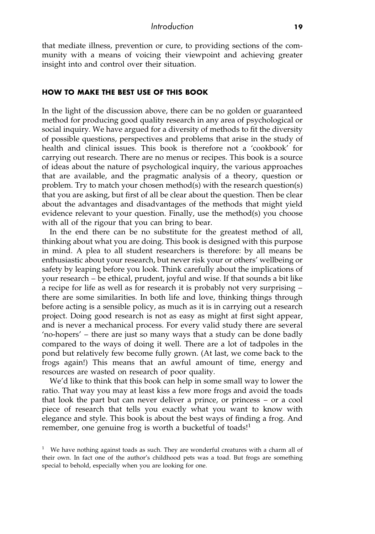that mediate illness, prevention or cure, to providing sections of the community with a means of voicing their viewpoint and achieving greater insight into and control over their situation.

#### HOW TO MAKE THE BEST USE OF THIS BOOK

In the light of the discussion above, there can be no golden or guaranteed method for producing good quality research in any area of psychological or social inquiry. We have argued for a diversity of methods to fit the diversity of possible questions, perspectives and problems that arise in the study of health and clinical issues. This book is therefore not a 'cookbook' for carrying out research. There are no menus or recipes. This book is a source of ideas about the nature of psychological inquiry, the various approaches that are available, and the pragmatic analysis of a theory, question or problem. Try to match your chosen method(s) with the research question(s) that you are asking, but first of all be clear about the question. Then be clear about the advantages and disadvantages of the methods that might yield evidence relevant to your question. Finally, use the method(s) you choose with all of the rigour that you can bring to bear.

In the end there can be no substitute for the greatest method of all, thinking about what you are doing. This book is designed with this purpose in mind. A plea to all student researchers is therefore: by all means be enthusiastic about your research, but never risk your or others' wellbeing or safety by leaping before you look. Think carefully about the implications of your research – be ethical, prudent, joyful and wise. If that sounds a bit like a recipe for life as well as for research it is probably not very surprising  $$ there are some similarities. In both life and love, thinking things through before acting is a sensible policy, as much as it is in carrying out a research project. Doing good research is not as easy as might at first sight appear, and is never a mechanical process. For every valid study there are several 'no-hopers' – there are just so many ways that a study can be done badly compared to the ways of doing it well. There are a lot of tadpoles in the pond but relatively few become fully grown. (At last, we come back to the frogs again!) This means that an awful amount of time, energy and resources are wasted on research of poor quality.

We'd like to think that this book can help in some small way to lower the ratio. That way you may at least kiss a few more frogs and avoid the toads that look the part but can never deliver a prince, or princess  $-$  or a cool piece of research that tells you exactly what you want to know with elegance and style. This book is about the best ways of finding a frog. And remember, one genuine frog is worth a bucketful of toads!<sup>1</sup>

<sup>&</sup>lt;sup>1</sup> We have nothing against toads as such. They are wonderful creatures with a charm all of their own. In fact one of the author's childhood pets was a toad. But frogs are something special to behold, especially when you are looking for one.